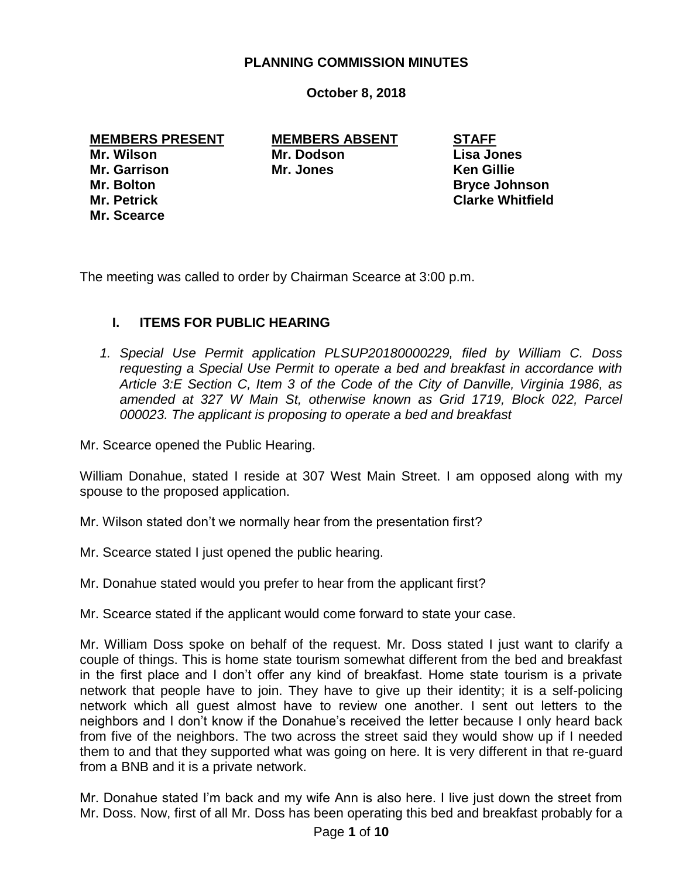### **PLANNING COMMISSION MINUTES**

### **October 8, 2018**

#### **MEMBERS PRESENT MEMBERS ABSENT STAFF**

**Mr. Scearce**

**Mr. Wilson Mr. Dodson Lisa Jones Mr. Garrison Mr. Jones Ken Gillie**

**Mr. Bolton Bryce Johnson Mr. Petrick Clarke Whitfield**

The meeting was called to order by Chairman Scearce at 3:00 p.m.

# **I. ITEMS FOR PUBLIC HEARING**

*1. Special Use Permit application PLSUP20180000229, filed by William C. Doss requesting a Special Use Permit to operate a bed and breakfast in accordance with Article 3:E Section C, Item 3 of the Code of the City of Danville, Virginia 1986, as amended at 327 W Main St, otherwise known as Grid 1719, Block 022, Parcel 000023. The applicant is proposing to operate a bed and breakfast*

Mr. Scearce opened the Public Hearing.

William Donahue, stated I reside at 307 West Main Street. I am opposed along with my spouse to the proposed application.

Mr. Wilson stated don't we normally hear from the presentation first?

Mr. Scearce stated I just opened the public hearing.

Mr. Donahue stated would you prefer to hear from the applicant first?

Mr. Scearce stated if the applicant would come forward to state your case.

Mr. William Doss spoke on behalf of the request. Mr. Doss stated I just want to clarify a couple of things. This is home state tourism somewhat different from the bed and breakfast in the first place and I don't offer any kind of breakfast. Home state tourism is a private network that people have to join. They have to give up their identity; it is a self-policing network which all guest almost have to review one another. I sent out letters to the neighbors and I don't know if the Donahue's received the letter because I only heard back from five of the neighbors. The two across the street said they would show up if I needed them to and that they supported what was going on here. It is very different in that re-guard from a BNB and it is a private network.

Mr. Donahue stated I'm back and my wife Ann is also here. I live just down the street from Mr. Doss. Now, first of all Mr. Doss has been operating this bed and breakfast probably for a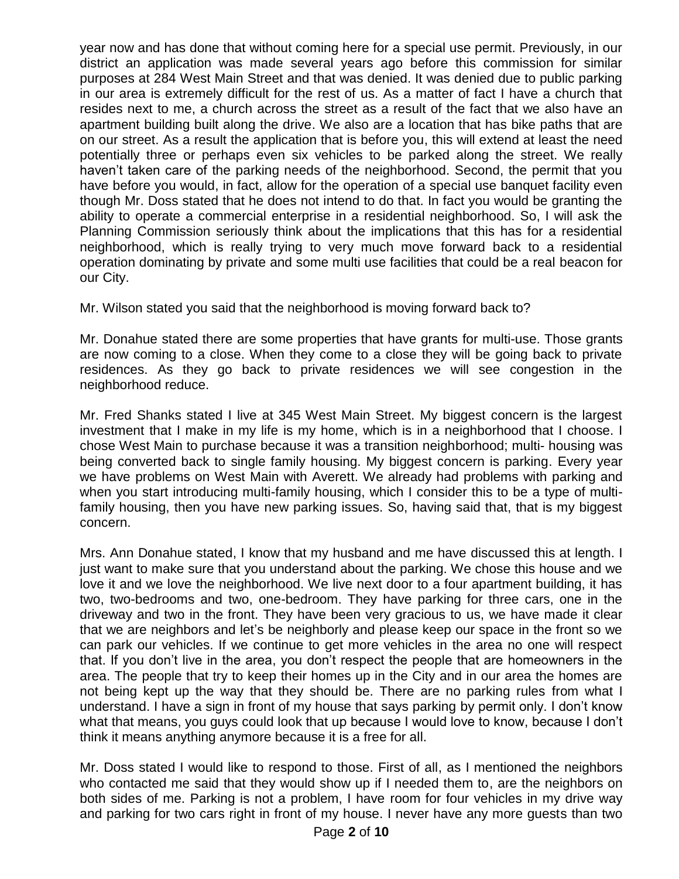year now and has done that without coming here for a special use permit. Previously, in our district an application was made several years ago before this commission for similar purposes at 284 West Main Street and that was denied. It was denied due to public parking in our area is extremely difficult for the rest of us. As a matter of fact I have a church that resides next to me, a church across the street as a result of the fact that we also have an apartment building built along the drive. We also are a location that has bike paths that are on our street. As a result the application that is before you, this will extend at least the need potentially three or perhaps even six vehicles to be parked along the street. We really haven't taken care of the parking needs of the neighborhood. Second, the permit that you have before you would, in fact, allow for the operation of a special use banquet facility even though Mr. Doss stated that he does not intend to do that. In fact you would be granting the ability to operate a commercial enterprise in a residential neighborhood. So, I will ask the Planning Commission seriously think about the implications that this has for a residential neighborhood, which is really trying to very much move forward back to a residential operation dominating by private and some multi use facilities that could be a real beacon for our City.

Mr. Wilson stated you said that the neighborhood is moving forward back to?

Mr. Donahue stated there are some properties that have grants for multi-use. Those grants are now coming to a close. When they come to a close they will be going back to private residences. As they go back to private residences we will see congestion in the neighborhood reduce.

Mr. Fred Shanks stated I live at 345 West Main Street. My biggest concern is the largest investment that I make in my life is my home, which is in a neighborhood that I choose. I chose West Main to purchase because it was a transition neighborhood; multi- housing was being converted back to single family housing. My biggest concern is parking. Every year we have problems on West Main with Averett. We already had problems with parking and when you start introducing multi-family housing, which I consider this to be a type of multifamily housing, then you have new parking issues. So, having said that, that is my biggest concern.

Mrs. Ann Donahue stated, I know that my husband and me have discussed this at length. I just want to make sure that you understand about the parking. We chose this house and we love it and we love the neighborhood. We live next door to a four apartment building, it has two, two-bedrooms and two, one-bedroom. They have parking for three cars, one in the driveway and two in the front. They have been very gracious to us, we have made it clear that we are neighbors and let's be neighborly and please keep our space in the front so we can park our vehicles. If we continue to get more vehicles in the area no one will respect that. If you don't live in the area, you don't respect the people that are homeowners in the area. The people that try to keep their homes up in the City and in our area the homes are not being kept up the way that they should be. There are no parking rules from what I understand. I have a sign in front of my house that says parking by permit only. I don't know what that means, you guys could look that up because I would love to know, because I don't think it means anything anymore because it is a free for all.

Mr. Doss stated I would like to respond to those. First of all, as I mentioned the neighbors who contacted me said that they would show up if I needed them to, are the neighbors on both sides of me. Parking is not a problem, I have room for four vehicles in my drive way and parking for two cars right in front of my house. I never have any more guests than two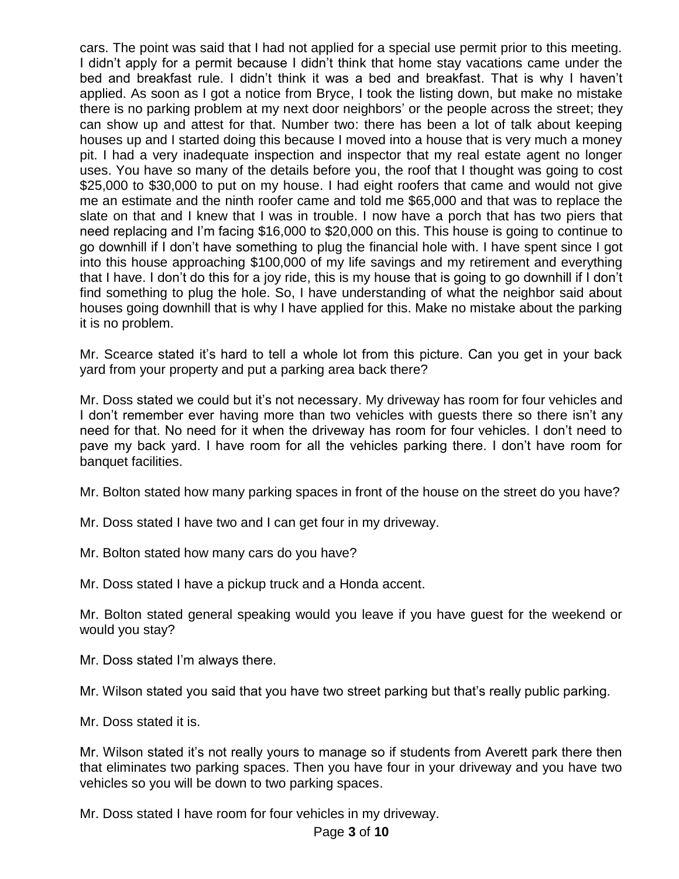cars. The point was said that I had not applied for a special use permit prior to this meeting. I didn't apply for a permit because I didn't think that home stay vacations came under the bed and breakfast rule. I didn't think it was a bed and breakfast. That is why I haven't applied. As soon as I got a notice from Bryce, I took the listing down, but make no mistake there is no parking problem at my next door neighbors' or the people across the street; they can show up and attest for that. Number two: there has been a lot of talk about keeping houses up and I started doing this because I moved into a house that is very much a money pit. I had a very inadequate inspection and inspector that my real estate agent no longer uses. You have so many of the details before you, the roof that I thought was going to cost \$25,000 to \$30,000 to put on my house. I had eight roofers that came and would not give me an estimate and the ninth roofer came and told me \$65,000 and that was to replace the slate on that and I knew that I was in trouble. I now have a porch that has two piers that need replacing and I'm facing \$16,000 to \$20,000 on this. This house is going to continue to go downhill if I don't have something to plug the financial hole with. I have spent since I got into this house approaching \$100,000 of my life savings and my retirement and everything that I have. I don't do this for a joy ride, this is my house that is going to go downhill if I don't find something to plug the hole. So, I have understanding of what the neighbor said about houses going downhill that is why I have applied for this. Make no mistake about the parking it is no problem.

Mr. Scearce stated it's hard to tell a whole lot from this picture. Can you get in your back yard from your property and put a parking area back there?

Mr. Doss stated we could but it's not necessary. My driveway has room for four vehicles and I don't remember ever having more than two vehicles with guests there so there isn't any need for that. No need for it when the driveway has room for four vehicles. I don't need to pave my back yard. I have room for all the vehicles parking there. I don't have room for banquet facilities.

Mr. Bolton stated how many parking spaces in front of the house on the street do you have?

Mr. Doss stated I have two and I can get four in my driveway.

Mr. Bolton stated how many cars do you have?

Mr. Doss stated I have a pickup truck and a Honda accent.

Mr. Bolton stated general speaking would you leave if you have guest for the weekend or would you stay?

Mr. Doss stated I'm always there.

Mr. Wilson stated you said that you have two street parking but that's really public parking.

Mr. Doss stated it is.

Mr. Wilson stated it's not really yours to manage so if students from Averett park there then that eliminates two parking spaces. Then you have four in your driveway and you have two vehicles so you will be down to two parking spaces.

Mr. Doss stated I have room for four vehicles in my driveway.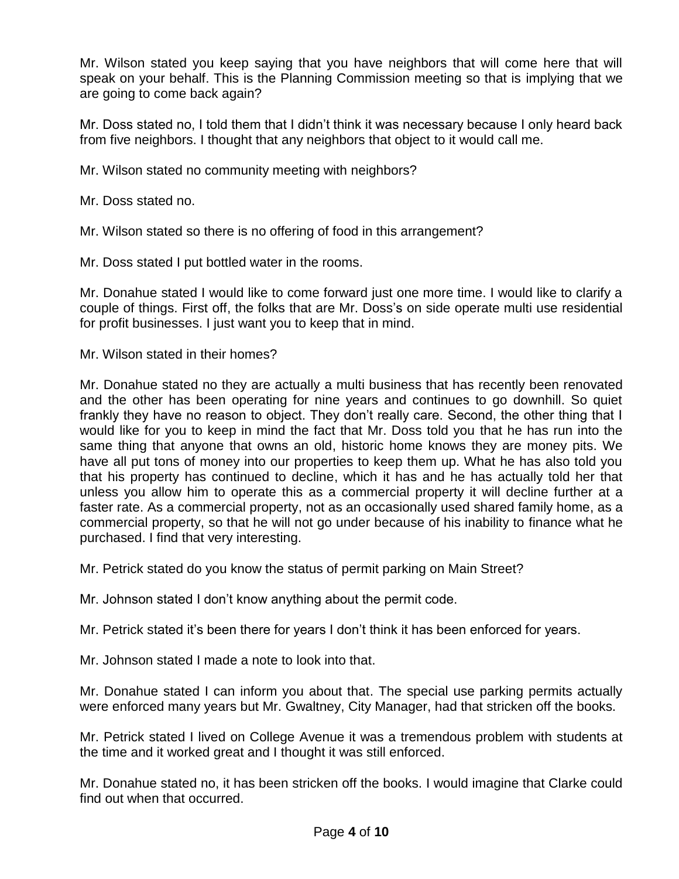Mr. Wilson stated you keep saying that you have neighbors that will come here that will speak on your behalf. This is the Planning Commission meeting so that is implying that we are going to come back again?

Mr. Doss stated no, I told them that I didn't think it was necessary because I only heard back from five neighbors. I thought that any neighbors that object to it would call me.

Mr. Wilson stated no community meeting with neighbors?

Mr. Doss stated no.

Mr. Wilson stated so there is no offering of food in this arrangement?

Mr. Doss stated I put bottled water in the rooms.

Mr. Donahue stated I would like to come forward just one more time. I would like to clarify a couple of things. First off, the folks that are Mr. Doss's on side operate multi use residential for profit businesses. I just want you to keep that in mind.

Mr. Wilson stated in their homes?

Mr. Donahue stated no they are actually a multi business that has recently been renovated and the other has been operating for nine years and continues to go downhill. So quiet frankly they have no reason to object. They don't really care. Second, the other thing that I would like for you to keep in mind the fact that Mr. Doss told you that he has run into the same thing that anyone that owns an old, historic home knows they are money pits. We have all put tons of money into our properties to keep them up. What he has also told you that his property has continued to decline, which it has and he has actually told her that unless you allow him to operate this as a commercial property it will decline further at a faster rate. As a commercial property, not as an occasionally used shared family home, as a commercial property, so that he will not go under because of his inability to finance what he purchased. I find that very interesting.

Mr. Petrick stated do you know the status of permit parking on Main Street?

Mr. Johnson stated I don't know anything about the permit code.

Mr. Petrick stated it's been there for years I don't think it has been enforced for years.

Mr. Johnson stated I made a note to look into that.

Mr. Donahue stated I can inform you about that. The special use parking permits actually were enforced many years but Mr. Gwaltney, City Manager, had that stricken off the books.

Mr. Petrick stated I lived on College Avenue it was a tremendous problem with students at the time and it worked great and I thought it was still enforced.

Mr. Donahue stated no, it has been stricken off the books. I would imagine that Clarke could find out when that occurred.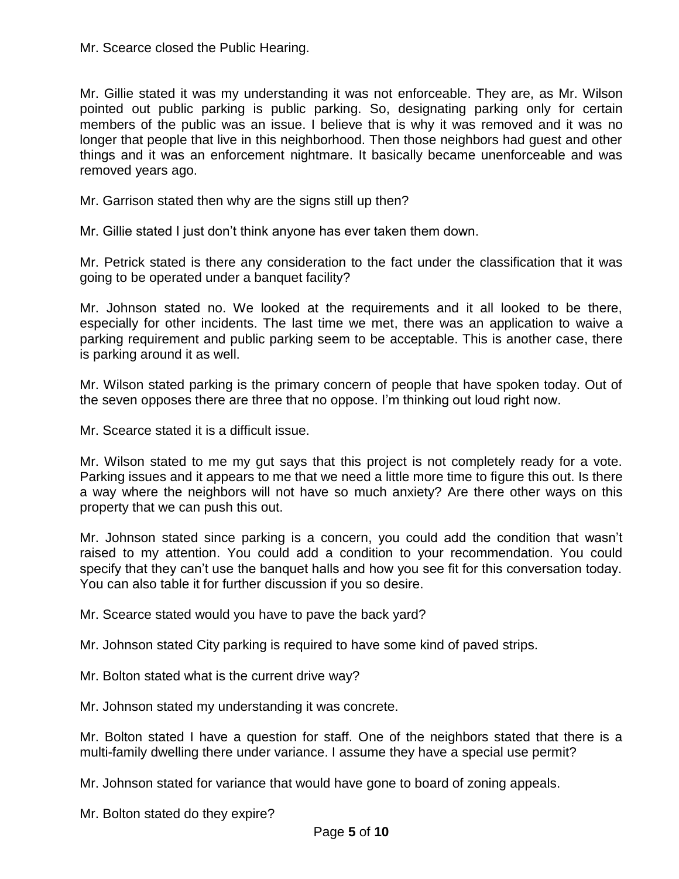Mr. Scearce closed the Public Hearing.

Mr. Gillie stated it was my understanding it was not enforceable. They are, as Mr. Wilson pointed out public parking is public parking. So, designating parking only for certain members of the public was an issue. I believe that is why it was removed and it was no longer that people that live in this neighborhood. Then those neighbors had guest and other things and it was an enforcement nightmare. It basically became unenforceable and was removed years ago.

Mr. Garrison stated then why are the signs still up then?

Mr. Gillie stated I just don't think anyone has ever taken them down.

Mr. Petrick stated is there any consideration to the fact under the classification that it was going to be operated under a banquet facility?

Mr. Johnson stated no. We looked at the requirements and it all looked to be there, especially for other incidents. The last time we met, there was an application to waive a parking requirement and public parking seem to be acceptable. This is another case, there is parking around it as well.

Mr. Wilson stated parking is the primary concern of people that have spoken today. Out of the seven opposes there are three that no oppose. I'm thinking out loud right now.

Mr. Scearce stated it is a difficult issue.

Mr. Wilson stated to me my gut says that this project is not completely ready for a vote. Parking issues and it appears to me that we need a little more time to figure this out. Is there a way where the neighbors will not have so much anxiety? Are there other ways on this property that we can push this out.

Mr. Johnson stated since parking is a concern, you could add the condition that wasn't raised to my attention. You could add a condition to your recommendation. You could specify that they can't use the banquet halls and how you see fit for this conversation today. You can also table it for further discussion if you so desire.

Mr. Scearce stated would you have to pave the back yard?

Mr. Johnson stated City parking is required to have some kind of paved strips.

Mr. Bolton stated what is the current drive way?

Mr. Johnson stated my understanding it was concrete.

Mr. Bolton stated I have a question for staff. One of the neighbors stated that there is a multi-family dwelling there under variance. I assume they have a special use permit?

Mr. Johnson stated for variance that would have gone to board of zoning appeals.

Mr. Bolton stated do they expire?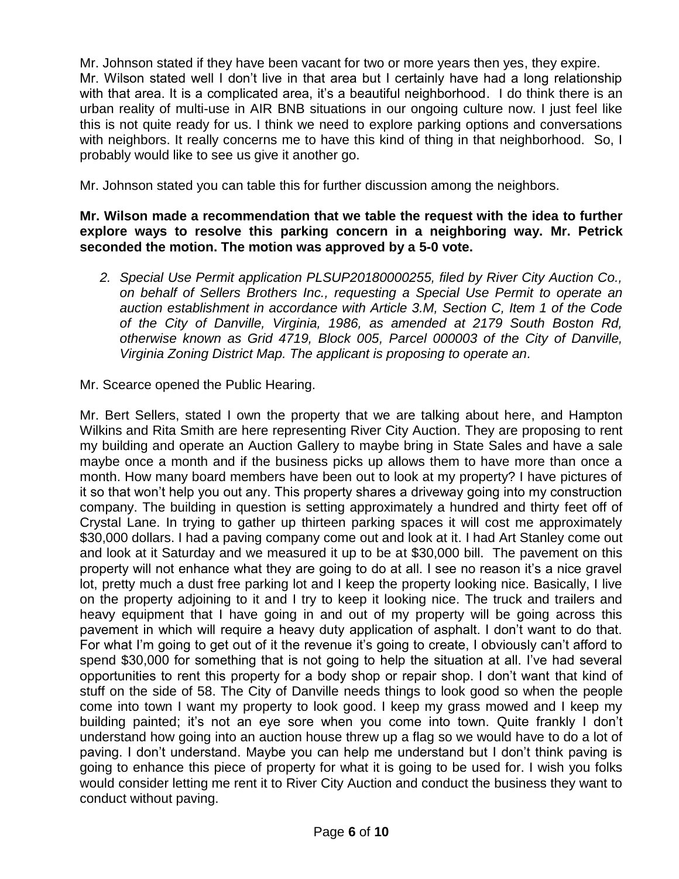Mr. Johnson stated if they have been vacant for two or more years then yes, they expire. Mr. Wilson stated well I don't live in that area but I certainly have had a long relationship with that area. It is a complicated area, it's a beautiful neighborhood. I do think there is an urban reality of multi-use in AIR BNB situations in our ongoing culture now. I just feel like this is not quite ready for us. I think we need to explore parking options and conversations with neighbors. It really concerns me to have this kind of thing in that neighborhood. So, I probably would like to see us give it another go.

Mr. Johnson stated you can table this for further discussion among the neighbors.

#### **Mr. Wilson made a recommendation that we table the request with the idea to further explore ways to resolve this parking concern in a neighboring way. Mr. Petrick seconded the motion. The motion was approved by a 5-0 vote.**

*2. Special Use Permit application PLSUP20180000255, filed by River City Auction Co., on behalf of Sellers Brothers Inc., requesting a Special Use Permit to operate an auction establishment in accordance with Article 3.M, Section C, Item 1 of the Code of the City of Danville, Virginia, 1986, as amended at 2179 South Boston Rd, otherwise known as Grid 4719, Block 005, Parcel 000003 of the City of Danville, Virginia Zoning District Map. The applicant is proposing to operate an.*

Mr. Scearce opened the Public Hearing.

Mr. Bert Sellers, stated I own the property that we are talking about here, and Hampton Wilkins and Rita Smith are here representing River City Auction. They are proposing to rent my building and operate an Auction Gallery to maybe bring in State Sales and have a sale maybe once a month and if the business picks up allows them to have more than once a month. How many board members have been out to look at my property? I have pictures of it so that won't help you out any. This property shares a driveway going into my construction company. The building in question is setting approximately a hundred and thirty feet off of Crystal Lane. In trying to gather up thirteen parking spaces it will cost me approximately \$30,000 dollars. I had a paving company come out and look at it. I had Art Stanley come out and look at it Saturday and we measured it up to be at \$30,000 bill. The pavement on this property will not enhance what they are going to do at all. I see no reason it's a nice gravel lot, pretty much a dust free parking lot and I keep the property looking nice. Basically, I live on the property adjoining to it and I try to keep it looking nice. The truck and trailers and heavy equipment that I have going in and out of my property will be going across this pavement in which will require a heavy duty application of asphalt. I don't want to do that. For what I'm going to get out of it the revenue it's going to create, I obviously can't afford to spend \$30,000 for something that is not going to help the situation at all. I've had several opportunities to rent this property for a body shop or repair shop. I don't want that kind of stuff on the side of 58. The City of Danville needs things to look good so when the people come into town I want my property to look good. I keep my grass mowed and I keep my building painted; it's not an eye sore when you come into town. Quite frankly I don't understand how going into an auction house threw up a flag so we would have to do a lot of paving. I don't understand. Maybe you can help me understand but I don't think paving is going to enhance this piece of property for what it is going to be used for. I wish you folks would consider letting me rent it to River City Auction and conduct the business they want to conduct without paving.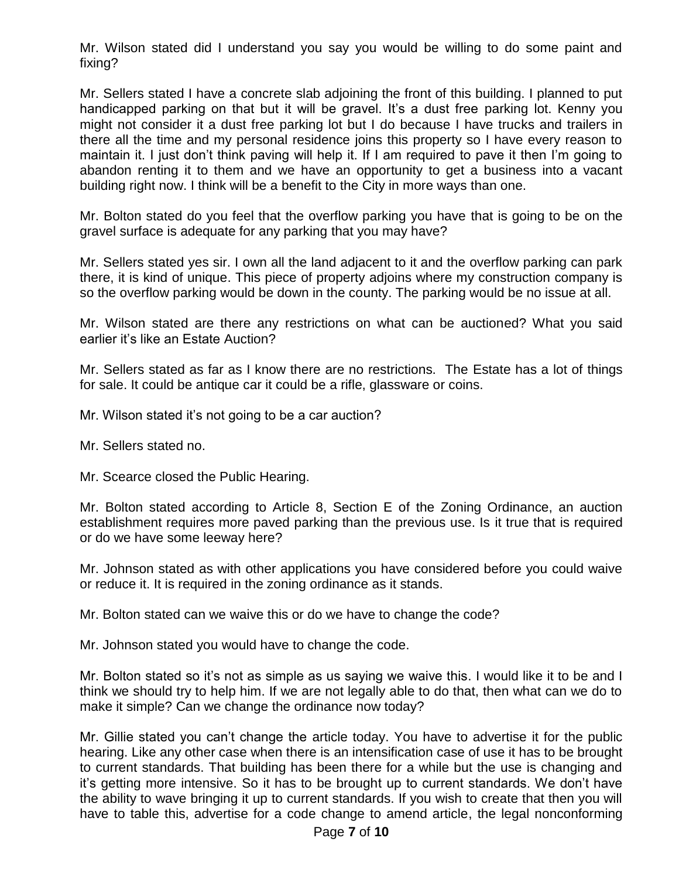Mr. Wilson stated did I understand you say you would be willing to do some paint and fixing?

Mr. Sellers stated I have a concrete slab adjoining the front of this building. I planned to put handicapped parking on that but it will be gravel. It's a dust free parking lot. Kenny you might not consider it a dust free parking lot but I do because I have trucks and trailers in there all the time and my personal residence joins this property so I have every reason to maintain it. I just don't think paving will help it. If I am required to pave it then I'm going to abandon renting it to them and we have an opportunity to get a business into a vacant building right now. I think will be a benefit to the City in more ways than one.

Mr. Bolton stated do you feel that the overflow parking you have that is going to be on the gravel surface is adequate for any parking that you may have?

Mr. Sellers stated yes sir. I own all the land adjacent to it and the overflow parking can park there, it is kind of unique. This piece of property adjoins where my construction company is so the overflow parking would be down in the county. The parking would be no issue at all.

Mr. Wilson stated are there any restrictions on what can be auctioned? What you said earlier it's like an Estate Auction?

Mr. Sellers stated as far as I know there are no restrictions. The Estate has a lot of things for sale. It could be antique car it could be a rifle, glassware or coins.

Mr. Wilson stated it's not going to be a car auction?

Mr. Sellers stated no.

Mr. Scearce closed the Public Hearing.

Mr. Bolton stated according to Article 8, Section E of the Zoning Ordinance, an auction establishment requires more paved parking than the previous use. Is it true that is required or do we have some leeway here?

Mr. Johnson stated as with other applications you have considered before you could waive or reduce it. It is required in the zoning ordinance as it stands.

Mr. Bolton stated can we waive this or do we have to change the code?

Mr. Johnson stated you would have to change the code.

Mr. Bolton stated so it's not as simple as us saying we waive this. I would like it to be and I think we should try to help him. If we are not legally able to do that, then what can we do to make it simple? Can we change the ordinance now today?

Mr. Gillie stated you can't change the article today. You have to advertise it for the public hearing. Like any other case when there is an intensification case of use it has to be brought to current standards. That building has been there for a while but the use is changing and it's getting more intensive. So it has to be brought up to current standards. We don't have the ability to wave bringing it up to current standards. If you wish to create that then you will have to table this, advertise for a code change to amend article, the legal nonconforming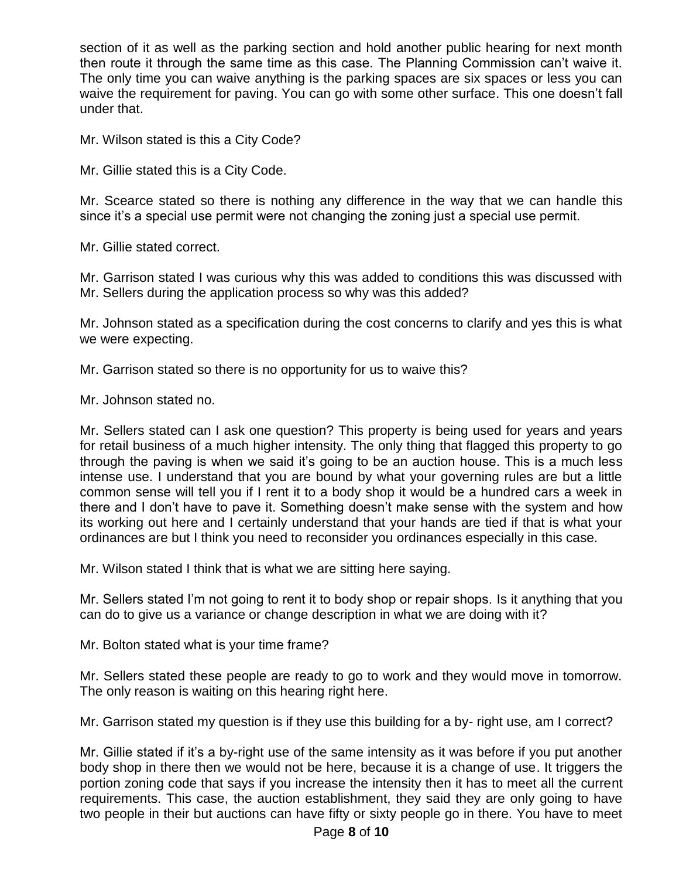section of it as well as the parking section and hold another public hearing for next month then route it through the same time as this case. The Planning Commission can't waive it. The only time you can waive anything is the parking spaces are six spaces or less you can waive the requirement for paving. You can go with some other surface. This one doesn't fall under that.

Mr. Wilson stated is this a City Code?

Mr. Gillie stated this is a City Code.

Mr. Scearce stated so there is nothing any difference in the way that we can handle this since it's a special use permit were not changing the zoning just a special use permit.

Mr. Gillie stated correct.

Mr. Garrison stated I was curious why this was added to conditions this was discussed with Mr. Sellers during the application process so why was this added?

Mr. Johnson stated as a specification during the cost concerns to clarify and yes this is what we were expecting.

Mr. Garrison stated so there is no opportunity for us to waive this?

Mr. Johnson stated no.

Mr. Sellers stated can I ask one question? This property is being used for years and years for retail business of a much higher intensity. The only thing that flagged this property to go through the paving is when we said it's going to be an auction house. This is a much less intense use. I understand that you are bound by what your governing rules are but a little common sense will tell you if I rent it to a body shop it would be a hundred cars a week in there and I don't have to pave it. Something doesn't make sense with the system and how its working out here and I certainly understand that your hands are tied if that is what your ordinances are but I think you need to reconsider you ordinances especially in this case.

Mr. Wilson stated I think that is what we are sitting here saying.

Mr. Sellers stated I'm not going to rent it to body shop or repair shops. Is it anything that you can do to give us a variance or change description in what we are doing with it?

Mr. Bolton stated what is your time frame?

Mr. Sellers stated these people are ready to go to work and they would move in tomorrow. The only reason is waiting on this hearing right here.

Mr. Garrison stated my question is if they use this building for a by- right use, am I correct?

Mr. Gillie stated if it's a by-right use of the same intensity as it was before if you put another body shop in there then we would not be here, because it is a change of use. It triggers the portion zoning code that says if you increase the intensity then it has to meet all the current requirements. This case, the auction establishment, they said they are only going to have two people in their but auctions can have fifty or sixty people go in there. You have to meet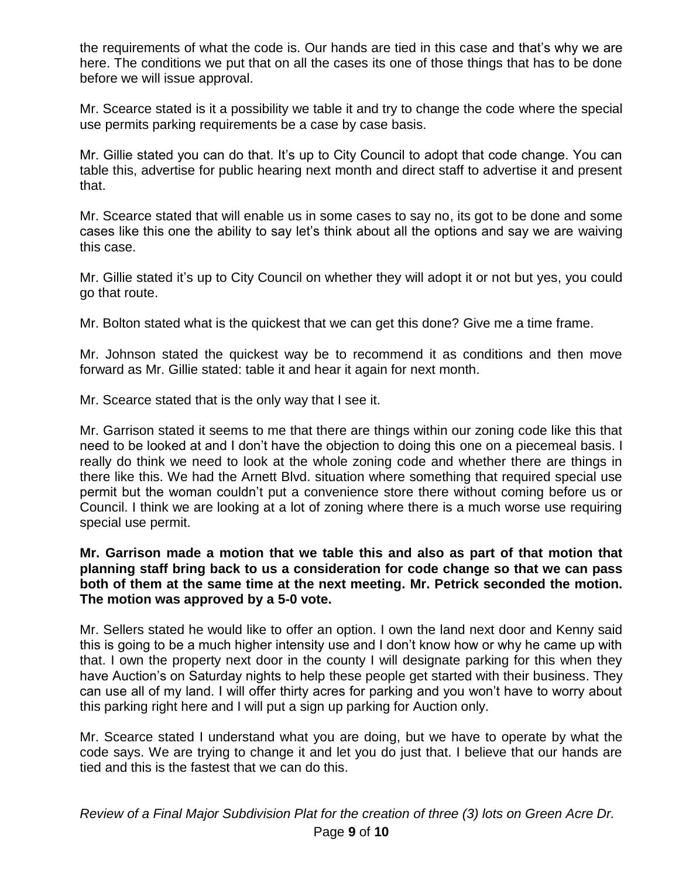the requirements of what the code is. Our hands are tied in this case and that's why we are here. The conditions we put that on all the cases its one of those things that has to be done before we will issue approval.

Mr. Scearce stated is it a possibility we table it and try to change the code where the special use permits parking requirements be a case by case basis.

Mr. Gillie stated you can do that. It's up to City Council to adopt that code change. You can table this, advertise for public hearing next month and direct staff to advertise it and present that.

Mr. Scearce stated that will enable us in some cases to say no, its got to be done and some cases like this one the ability to say let's think about all the options and say we are waiving this case.

Mr. Gillie stated it's up to City Council on whether they will adopt it or not but yes, you could go that route.

Mr. Bolton stated what is the quickest that we can get this done? Give me a time frame.

Mr. Johnson stated the quickest way be to recommend it as conditions and then move forward as Mr. Gillie stated: table it and hear it again for next month.

Mr. Scearce stated that is the only way that I see it.

Mr. Garrison stated it seems to me that there are things within our zoning code like this that need to be looked at and I don't have the objection to doing this one on a piecemeal basis. I really do think we need to look at the whole zoning code and whether there are things in there like this. We had the Arnett Blvd. situation where something that required special use permit but the woman couldn't put a convenience store there without coming before us or Council. I think we are looking at a lot of zoning where there is a much worse use requiring special use permit.

#### **Mr. Garrison made a motion that we table this and also as part of that motion that planning staff bring back to us a consideration for code change so that we can pass both of them at the same time at the next meeting. Mr. Petrick seconded the motion. The motion was approved by a 5-0 vote.**

Mr. Sellers stated he would like to offer an option. I own the land next door and Kenny said this is going to be a much higher intensity use and I don't know how or why he came up with that. I own the property next door in the county I will designate parking for this when they have Auction's on Saturday nights to help these people get started with their business. They can use all of my land. I will offer thirty acres for parking and you won't have to worry about this parking right here and I will put a sign up parking for Auction only.

Mr. Scearce stated I understand what you are doing, but we have to operate by what the code says. We are trying to change it and let you do just that. I believe that our hands are tied and this is the fastest that we can do this.